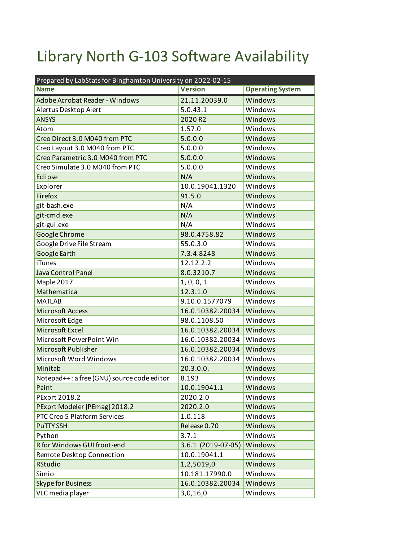## Library North G-103 Software Availability

| Prepared by LabStats for Binghamton University on 2022-02-15 |                    |                         |  |
|--------------------------------------------------------------|--------------------|-------------------------|--|
| <b>Name</b>                                                  | <b>Version</b>     | <b>Operating System</b> |  |
| <b>Adobe Acrobat Reader - Windows</b>                        | 21.11.20039.0      | Windows                 |  |
| Alertus Desktop Alert                                        | 5.0.43.1           | Windows                 |  |
| <b>ANSYS</b>                                                 | 2020 R2            | Windows                 |  |
| Atom                                                         | 1.57.0             | Windows                 |  |
| Creo Direct 3.0 M040 from PTC                                | 5.0.0.0            | Windows                 |  |
| Creo Layout 3.0 M040 from PTC                                | 5.0.0.0            | Windows                 |  |
| Creo Parametric 3.0 M040 from PTC                            | 5.0.0.0            | Windows                 |  |
| Creo Simulate 3.0 M040 from PTC                              | 5.0.0.0            | Windows                 |  |
| Eclipse                                                      | N/A                | Windows                 |  |
| Explorer                                                     | 10.0.19041.1320    | Windows                 |  |
| Firefox                                                      | 91.5.0             | Windows                 |  |
| git-bash.exe                                                 | N/A                | Windows                 |  |
| git-cmd.exe                                                  | N/A                | Windows                 |  |
| git-gui.exe                                                  | N/A                | Windows                 |  |
| Google Chrome                                                | 98.0.4758.82       | Windows                 |  |
| Google Drive File Stream                                     | 55.0.3.0           | Windows                 |  |
| <b>Google Earth</b>                                          | 7.3.4.8248         | Windows                 |  |
| <b>iTunes</b>                                                | 12.12.2.2          | Windows                 |  |
| Java Control Panel                                           | 8.0.3210.7         | Windows                 |  |
| Maple 2017                                                   | 1, 0, 0, 1         | Windows                 |  |
| Mathematica                                                  | 12.3.1.0           | Windows                 |  |
| <b>MATLAB</b>                                                | 9.10.0.1577079     | Windows                 |  |
| <b>Microsoft Access</b>                                      | 16.0.10382.20034   | Windows                 |  |
| Microsoft Edge                                               | 98.0.1108.50       | Windows                 |  |
| Microsoft Excel                                              | 16.0.10382.20034   | Windows                 |  |
| Microsoft PowerPoint Win                                     | 16.0.10382.20034   | Windows                 |  |
| Microsoft Publisher                                          | 16.0.10382.20034   | Windows                 |  |
| Microsoft Word Windows                                       | 16.0.10382.20034   | Windows                 |  |
| Minitab                                                      | 20.3.0.0.          | Windows                 |  |
| Notepad++: a free (GNU) source code editor                   | 8.193              | Windows                 |  |
| Paint                                                        | 10.0.19041.1       | Windows                 |  |
| PExprt 2018.2                                                | 2020.2.0           | Windows                 |  |
| PExprt Modeler [PEmag] 2018.2                                | 2020.2.0           | Windows                 |  |
| PTC Creo 5 Platform Services                                 | 1.0.118            | Windows                 |  |
| <b>PuTTY SSH</b>                                             | Release 0.70       | Windows                 |  |
| Python                                                       | 3.7.1              | Windows                 |  |
| R for Windows GUI front-end                                  | 3.6.1 (2019-07-05) | Windows                 |  |
| Remote Desktop Connection                                    | 10.0.19041.1       | Windows                 |  |
| <b>RStudio</b>                                               | 1,2,5019,0         | Windows                 |  |
| Simio                                                        | 10.181.17990.0     | Windows                 |  |
| <b>Skype for Business</b>                                    | 16.0.10382.20034   | Windows                 |  |
| VLC media player                                             | 3,0,16,0           | Windows                 |  |